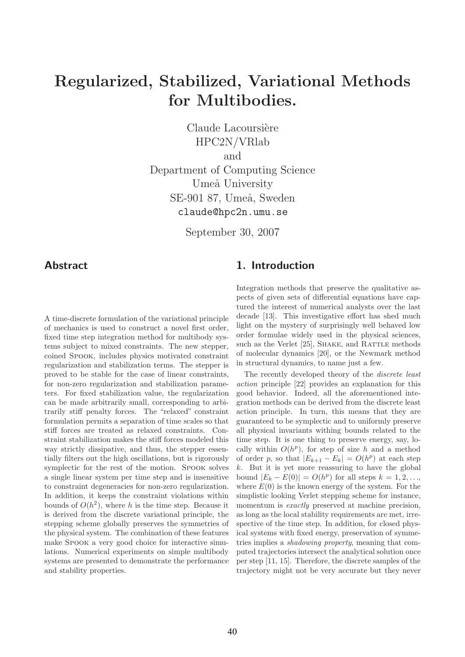# Regularized, Stabilized, Variational Methods for Multibodies.

Claude Lacoursière HPC2N/VRlab and Department of Computing Science Umeå University SE-901 87, Umeå, Sweden claude@hpc2n.umu.se

September 30, 2007

#### Abstract

A time-discrete formulation of the variational principle of mechanics is used to construct a novel first order, fixed time step integration method for multibody systems subject to mixed constraints. The new stepper, coined Spook, includes physics motivated constraint regularization and stabilization terms. The stepper is proved to be stable for the case of linear constraints, for non-zero regularization and stabilization parameters. For fixed stabilization value, the regularization can be made arbitrarily small, corresponding to arbitrarily stiff penalty forces. The "relaxed" constraint formulation permits a separation of time scales so that stiff forces are treated as relaxed constraints. Constraint stabilization makes the stiff forces modeled this way strictly dissipative, and thus, the stepper essentially filters out the high oscillations, but is rigorously symplectic for the rest of the motion. Spook solves a single linear system per time step and is insensitive to constraint degeneracies for non-zero regularization. In addition, it keeps the constraint violations within bounds of  $O(h^2)$ , where h is the time step. Because it is derived from the discrete variational principle, the stepping scheme globally preserves the symmetries of the physical system. The combination of these features make Spook a very good choice for interactive simulations. Numerical experiments on simple multibody systems are presented to demonstrate the performance and stability properties.

## 1. Introduction

Integration methods that preserve the qualitative aspects of given sets of differential equations have captured the interest of numerical analysts over the last decade [13]. This investigative effort has shed much light on the mystery of surprisingly well behaved low order formulae widely used in the physical sciences, such as the Verlet [25], SHAKE, and RATTLE methods of molecular dynamics [20], or the Newmark method in structural dynamics, to name just a few.

The recently developed theory of the discrete least action principle [22] provides an explanation for this good behavior. Indeed, all the aforementioned integration methods can be derived from the discrete least action principle. In turn, this means that they are guaranteed to be symplectic and to uniformly preserve all physical invariants withing bounds related to the time step. It is one thing to preserve energy, say, locally within  $O(h^p)$ , for step of size h and a method of order p, so that  $|E_{k+1} - E_k| = O(h^p)$  at each step  $k$ . But it is yet more reassuring to have the global bound  $|E_k - E(0)| = O(h^p)$  for all steps  $k = 1, 2, ...,$ where  $E(0)$  is the known energy of the system. For the simplistic looking Verlet stepping scheme for instance, momentum is *exactly* preserved at machine precision, as long as the local stability requirements are met, irrespective of the time step. In addition, for closed physical systems with fixed energy, preservation of symmetries implies a shadowing property, meaning that computed trajectories intersect the analytical solution once per step [11, 15]. Therefore, the discrete samples of the trajectory might not be very accurate but they never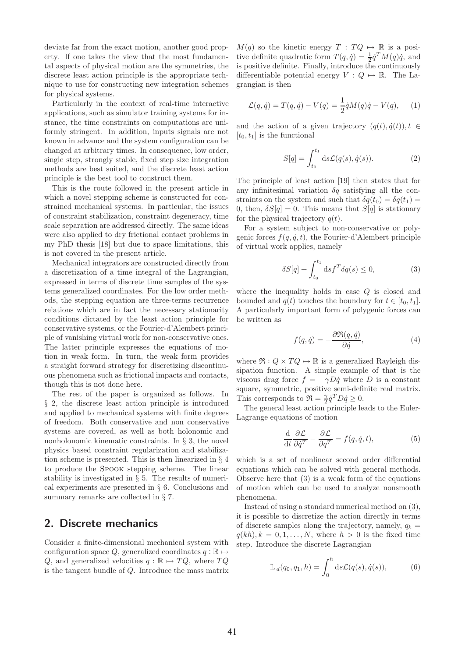deviate far from the exact motion, another good property. If one takes the view that the most fundamental aspects of physical motion are the symmetries, the discrete least action principle is the appropriate technique to use for constructing new integration schemes for physical systems.

Particularly in the context of real-time interactive applications, such as simulator training systems for instance, the time constraints on computations are uniformly stringent. In addition, inputs signals are not known in advance and the system configuration can be changed at arbitrary times. In consequence, low order, single step, strongly stable, fixed step size integration methods are best suited, and the discrete least action principle is the best tool to construct them.

This is the route followed in the present article in which a novel stepping scheme is constructed for constrained mechanical systems. In particular, the issues of constraint stabilization, constraint degeneracy, time scale separation are addressed directly. The same ideas were also applied to dry frictional contact problems in my PhD thesis [18] but due to space limitations, this is not covered in the present article.

Mechanical integrators are constructed directly from a discretization of a time integral of the Lagrangian, expressed in terms of discrete time samples of the systems generalized coordinates. For the low order methods, the stepping equation are three-terms recurrence relations which are in fact the necessary stationarity conditions dictated by the least action principle for conservative systems, or the Fourier-d'Alembert principle of vanishing virtual work for non-conservative ones. The latter principle expresses the equations of motion in weak form. In turn, the weak form provides a straight forward strategy for discretizing discontinuous phenomena such as frictional impacts and contacts, though this is not done here.

The rest of the paper is organized as follows. In § 2, the discrete least action principle is introduced and applied to mechanical systems with finite degrees of freedom. Both conservative and non conservative systems are covered, as well as both holonomic and nonholonomic kinematic constraints. In § 3, the novel physics based constraint regularization and stabilization scheme is presented. This is then linearized in § 4 to produce the Spook stepping scheme. The linear stability is investigated in  $\S$  5. The results of numerical experiments are presented in § 6. Conclusions and summary remarks are collected in § 7.

## 2. Discrete mechanics

Consider a finite-dimensional mechanical system with configuration space Q, generalized coordinates  $q : \mathbb{R} \mapsto$ Q, and generalized velocities  $q : \mathbb{R} \mapsto TQ$ , where  $TQ$ is the tangent bundle of Q. Introduce the mass matrix  $M(q)$  so the kinetic energy  $T : TQ \mapsto \mathbb{R}$  is a positive definite quadratic form  $T(q, \dot{q}) = \frac{1}{2} \dot{q}^T M(q) \dot{q}$ , and is positive definite. Finally, introduce the continuously differentiable potential energy  $V: Q \mapsto \mathbb{R}$ . The Lagrangian is then

$$
\mathcal{L}(q, \dot{q}) = T(q, \dot{q}) - V(q) = \frac{1}{2} \dot{q} M(q) \dot{q} - V(q), \quad (1)
$$

and the action of a given trajectory  $(q(t), \dot{q}(t)), t \in$  $[t_0, t_1]$  is the functional

$$
S[q] = \int_{t_0}^{t_1} ds \mathcal{L}(q(s), \dot{q}(s)).
$$
 (2)

The principle of least action [19] then states that for any infinitesimal variation  $\delta q$  satisfying all the constraints on the system and such that  $\delta q(t_0) = \delta q(t_1)$  = 0, then,  $\delta S[q] = 0$ . This means that  $S[q]$  is stationary for the physical trajectory  $q(t)$ .

For a system subject to non-conservative or polygenic forces  $f(q, \dot{q}, t)$ , the Fourier-d'Alembert principle of virtual work applies, namely

$$
\delta S[q] + \int_{t_0}^{t_1} ds f^T \delta q(s) \le 0,\tag{3}
$$

where the inequality holds in case Q is closed and bounded and  $q(t)$  touches the boundary for  $t \in [t_0, t_1]$ . A particularly important form of polygenic forces can be written as

$$
f(q, \dot{q}) = -\frac{\partial \Re(q, \dot{q})}{\partial \dot{q}}, \tag{4}
$$

where  $\Re: Q \times TQ \mapsto \mathbb{R}$  is a generalized Rayleigh dissipation function. A simple example of that is the viscous drag force  $f = -\gamma D\dot{q}$  where D is a constant square, symmetric, positive semi-definite real matrix. This corresponds to  $\Re = \frac{\gamma}{2} \dot{q}^T D \dot{q} \ge 0$ .

The general least action principle leads to the Euler-Lagrange equations of motion

$$
\frac{\mathrm{d}}{\mathrm{d}t}\frac{\partial \mathcal{L}}{\partial \dot{q}^T} - \frac{\partial \mathcal{L}}{\partial q^T} = f(q, \dot{q}, t),\tag{5}
$$

which is a set of nonlinear second order differential equations which can be solved with general methods. Observe here that (3) is a weak form of the equations of motion which can be used to analyze nonsmooth phenomena.

Instead of using a standard numerical method on (3), it is possible to discretize the action directly in terms of discrete samples along the trajectory, namely,  $q_k =$  $q(kh), k = 0, 1, \ldots, N$ , where  $h > 0$  is the fixed time step. Introduce the discrete Lagrangian

$$
\mathbb{L}_d(q_0, q_1, h) = \int_0^h \mathrm{d}s \mathcal{L}(q(s), \dot{q}(s)),\tag{6}
$$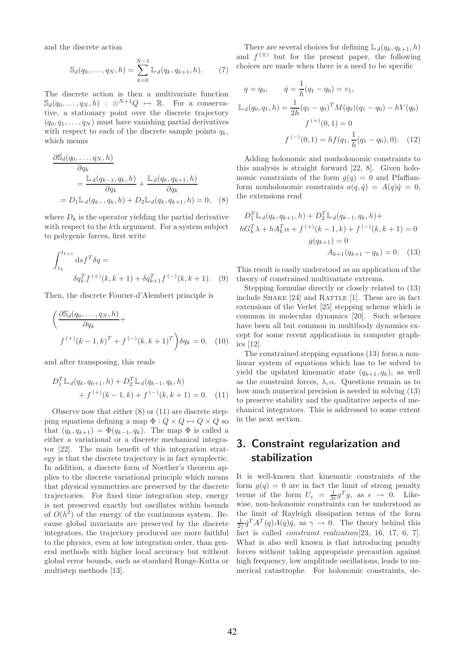and the discrete action

$$
\mathbb{S}_d(q_0, \dots, q_N, h) = \sum_{k=0}^{N-1} \mathbb{L}_d(q_k, q_{k+1}, h).
$$
 (7)

The discrete action is then a multivariate function  $\mathbb{S}_d(q_0,\ldots,q_N,h)$  :  $\otimes^{N+1}Q \mapsto \mathbb{R}$ . For a conservative, a stationary point over the discrete trajectory  $(q_0, q_1, \ldots, q_N)$  must have vanishing partial derivatives with respect to each of the discrete sample points  $q_k$ , which means

$$
\frac{\partial \mathbb{S}_d(q_0, \dots, q_N, h)}{\partial q_k} = \frac{\mathbb{L}_d(q_{k-1}, q_k, h)}{\partial q_k} + \frac{\mathbb{L}_d(q_k, q_{k+1}, h)}{\partial q_k}
$$

$$
= D_1 \mathbb{L}_d(q_{k-1}, q_k, h) + D_2 \mathbb{L}_d(q_k, q_{k+1}, h) = 0, \quad (8)
$$

where  $D_k$  is the operator yielding the partial derivative with respect to the kth argument. For a system subject to polygenic forces, first write

$$
\int_{t_k}^{t_{k+1}} ds f^T \delta q =
$$
  

$$
\delta q_k^T f^{(+)}(k, k+1) + \delta q_{k+1}^T f^{(-)}(k, k+1). \quad (9)
$$

Then, the discrete Fourier-d'Alembert principle is

$$
\left(\frac{\partial \mathbb{S}_d(q_0,\ldots,q_N,h)}{\partial q_k} + f^{(+)}(k-1,k)^T + f^{(-)}(k,k+1)^T\right)\delta q_k = 0, \quad (10)
$$

and after transposing, this reads

$$
D_1^T \mathbb{L}_d(q_k, q_{k+1}, h) + D_2^T \mathbb{L}_d(q_{k-1}, q_k, h)
$$
  
+  $f^{(+)}(k-1, k) + f^{(-)}(k, k+1) = 0.$  (11)

Observe now that either (8) or (11) are discrete stepping equations defining a map  $\Phi: Q \times Q \mapsto Q \times Q$  so that  $(q_k, q_{k+1}) = \Phi(q_{k-1}, q_k)$ . The map  $\Phi$  is called a either a variational or a discrete mechanical integrator [22]. The main benefit of this integration strategy is that the discrete trajectory is in fact symplectic. In addition, a discrete form of Noether's theorem applies to the discrete variational principle which means that physical symmetries are preserved by the discrete trajectories. For fixed time integration step, energy is not preserved exactly but oscillates within bounds of  $O(h^2)$  of the energy of the continuous system. Because global invariants are preserved by the discrete integrators, the trajectory produced are more faithful to the physics, even at low integration order, than general methods with higher local accuracy but without global error bounds, such as standard Runge-Kutta or multistep methods [13].

There are several choices for defining  $\mathbb{L}_d(q_k, q_{k+1}, h)$ and  $f^{(\pm)}$  but for the present paper, the following choices are made when there is a need to be specific

$$
q = q_0, \t\dot{q} = \frac{1}{h}(q_1 - q_0) = v_1,
$$
  

$$
\mathbb{L}_d(q_0, q_1, h) = \frac{1}{2h}(q_1 - q_0)^T M(q_0)(q_1 - q_0) - hV(q_0)
$$
  

$$
f^{(+)}(0, 1) = 0
$$
  

$$
f^{(-)}(0, 1) = h f(q_1, \frac{1}{h}(q_1 - q_0), 0). \t(12)
$$

Adding holonomic and nonholonomic constraints to this analysis is straight forward [22, 8]. Given holonomic constraints of the form  $g(q) = 0$  and Pfaffianform nonholonomic constraints  $a(q, \dot{q}) = A(q)\dot{q} = 0$ , the extensions read

$$
D_1^T \mathbb{L}_d(q_k, q_{k+1}, h) + D_2^T \mathbb{L}_d(q_{k-1}, q_k, h) + hG_k^T \lambda + hA_k^T \alpha + f^{(+)}(k-1, k) + f^{(-)}(k, k+1) = 0
$$
  

$$
g(q_{k+1}) = 0
$$
  

$$
A_{k+1}(q_{k+1} - q_k) = 0.
$$
 (13)

This result is easily understood as an application of the theory of constrained multivariate extrema.

Stepping formulae directly or closely related to (13) include SHAKE [24] and RATTLE [1]. These are in fact extensions of the Verlet [25] stepping scheme which is common in molecular dynamics [20]. Such schemes have been all but common in multibody dynamics except for some recent applications in computer graphics [12].

The constrained stepping equations (13) form a nonlinear system of equations which has to be solved to yield the updated kinematic state  $(q_{k+1}, q_k)$ , as well as the constraint forces,  $\lambda$ ,  $\alpha$ . Questions remain as to how much numerical precision is needed in solving (13) to preserve stability and the qualitative aspects of mechanical integrators. This is addressed to some extent in the next section.

## 3. Constraint regularization and stabilization

It is well-known that kinematic constraints of the form  $g(q) = 0$  are in fact the limit of strong penalty terms of the form  $U_{\epsilon} = \frac{1}{2\epsilon} g^T g$ , as  $\epsilon \to 0$ . Likewise, non-holonomic constraints can be understood as the limit of Rayleigh dissipation terms of the form  $\frac{1}{2\gamma}\dot{q}^T A^T(q)A(q)\dot{q}$ , as  $\gamma \to 0$ . The theory behind this fact is called *constraint realization*<sup>[23, 16, 17, 6, 7].</sup> What is also well known is that introducing penalty forces without taking appropriate precaution against high frequency, low amplitude oscillations, leads to numerical catastrophe. For holonomic constraints, de-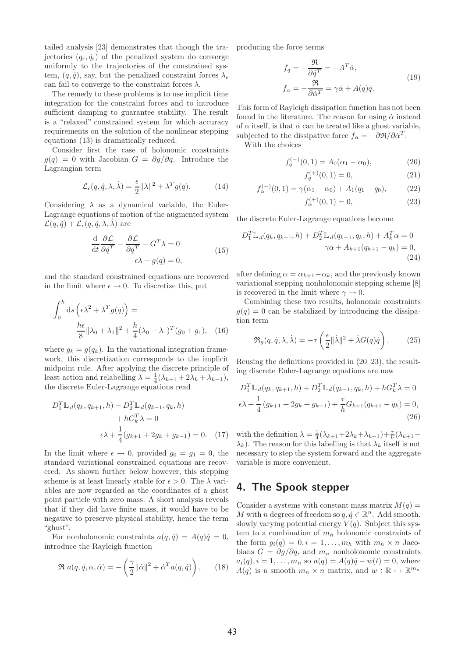tailed analysis [23] demonstrates that though the trajectories  $(q_{\epsilon}, \dot{q}_{\epsilon})$  of the penalized system do converge uniformly to the trajectories of the constrained system,  $(q, \dot{q})$ , say, but the penalized constraint forces  $\lambda_{\epsilon}$ can fail to converge to the constraint forces  $\lambda$ .

The remedy to these problems is to use implicit time integration for the constraint forces and to introduce sufficient damping to guarantee stability. The result is a "relaxed" constrained system for which accuracy requirements on the solution of the nonlinear stepping equations (13) is dramatically reduced.

Consider first the case of holonomic constraints  $q(q) = 0$  with Jacobian  $G = \partial q / \partial q$ . Introduce the Lagrangian term

$$
\mathcal{L}_{\epsilon}(q, \dot{q}, \lambda, \dot{\lambda}) = \frac{\epsilon}{2} ||\lambda||^2 + \lambda^T g(q). \tag{14}
$$

Considering  $\lambda$  as a dynamical variable, the Euler-Lagrange equations of motion of the augmented system  $\mathcal{L}(q, \dot{q}) + \mathcal{L}_{\epsilon}(q, \dot{q}, \lambda, \dot{\lambda})$  are

$$
\frac{\mathrm{d}}{\mathrm{d}t}\frac{\partial \mathcal{L}}{\partial \dot{q}^T} - \frac{\partial \mathcal{L}}{\partial q^T} - G^T \lambda = 0
$$
\n
$$
\epsilon \lambda + g(q) = 0,
$$
\n(15)

and the standard constrained equations are recovered in the limit where  $\epsilon \to 0$ . To discretize this, put

$$
\int_0^h ds \left(\epsilon \lambda^2 + \lambda^T g(q)\right) =
$$
  

$$
\frac{h\epsilon}{8} ||\lambda_0 + \lambda_1||^2 + \frac{h}{4} (\lambda_0 + \lambda_1)^T (g_0 + g_1), \quad (16)
$$

where  $q_k = g(q_k)$ . In the variational integration framework, this discretization corresponds to the implicit midpoint rule. After applying the discrete principle of least action and relabelling  $\lambda = \frac{1}{4}(\lambda_{k+1} + 2\lambda_k + \lambda_{k-1}),$ the discrete Euler-Lagrange equations read

$$
D_1^T \mathbb{L}_d(q_k, q_{k+1}, h) + D_2^T \mathbb{L}_d(q_{k-1}, q_k, h) + hG_k^T \lambda = 0 \n\epsilon \lambda + \frac{1}{4}(g_{k+1} + 2g_k + g_{k-1}) = 0.
$$
 (17)

In the limit where  $\epsilon \to 0$ , provided  $g_0 = g_1 = 0$ , the standard variational constrained equations are recovered. As shown further below however, this stepping scheme is at least linearly stable for  $\epsilon > 0$ . The  $\lambda$  variables are now regarded as the coordinates of a ghost point particle with zero mass. A short analysis reveals that if they did have finite mass, it would have to be negative to preserve physical stability, hence the term "ghost".

For nonholonomic constraints  $a(q, \dot{q}) = A(q)\dot{q} = 0$ , introduce the Rayleigh function

$$
\Re a(q, \dot{q}, \alpha, \dot{\alpha}) = -\left(\frac{\gamma}{2} ||\dot{\alpha}||^2 + \dot{\alpha}^T a(q, \dot{q})\right), \quad (18)
$$

producing the force terms

$$
f_q = -\frac{\mathfrak{R}}{\partial \dot{q}^T} = -A^T \dot{\alpha},
$$
  
\n
$$
f_\alpha = -\frac{\mathfrak{R}}{\partial \dot{\alpha}^T} = \gamma \dot{\alpha} + A(q)\dot{q}.
$$
\n(19)

This form of Rayleigh dissipation function has not been found in the literature. The reason for using  $\dot{\alpha}$  instead of  $\alpha$  itself, is that  $\alpha$  can be treated like a ghost variable, subjected to the dissipative force  $f_{\alpha} = -\partial \mathfrak{R} / \partial \dot{\alpha}^T$ .

With the choices

$$
f_q^{(-)}(0,1) = A_0(\alpha_1 - \alpha_0), \tag{20}
$$

$$
f_q^{(+)}(0,1) = 0,\t\t(21)
$$

$$
f_{\alpha}^{(-)}(0,1) = \gamma(\alpha_1 - \alpha_0) + A_1(q_1 - q_0), \qquad (22)
$$

$$
f_{\alpha}^{(+)}(0,1) = 0,\t\t(23)
$$

the discrete Euler-Lagrange equations become

$$
D_1^T \mathbb{L}_d(q_k, q_{k+1}, h) + D_2^T \mathbb{L}_d(q_{k-1}, q_k, h) + A_k^T \alpha = 0
$$
  

$$
\gamma \alpha + A_{k+1}(q_{k+1} - q_k) = 0,
$$
  
(24)

after defining  $\alpha = \alpha_{k+1} - \alpha_k$ , and the previously known variational stepping nonholonomic stepping scheme [8] is recovered in the limit where  $\gamma \to 0$ .

Combining these two results, holonomic constraints  $g(q) = 0$  can be stabilized by introducing the dissipation term

$$
\Re_g(q, \dot{q}, \lambda, \dot{\lambda}) = -\tau \left( \frac{\epsilon}{2} ||\dot{\lambda}||^2 + \dot{\lambda} G(q) \dot{q} \right). \tag{25}
$$

Reusing the definitions provided in (20–23), the resulting discrete Euler-Lagrange equations are now

$$
D_1^T \mathbb{L}_d(q_k, q_{k+1}, h) + D_2^T \mathbb{L}_d(q_{k-1}, q_k, h) + hG_k^T \lambda = 0
$$
  

$$
\epsilon \lambda + \frac{1}{4} (g_{k+1} + 2g_k + g_{k-1}) + \frac{\tau}{h} G_{k+1}(q_{k+1} - q_k) = 0,
$$
  
(26)

with the definition  $\lambda = \frac{1}{4}(\lambda_{k+1}+2\lambda_k+\lambda_{k-1})+\frac{\tau}{h}(\lambda_{k+1} \lambda_k$ ). The reason for this labelling is that  $\lambda_k$  itself is not necessary to step the system forward and the aggregate variable is more convenient.

## 4. The Spook stepper

Consider a systems with constant mass matrix  $M(q) =$ M with n degrees of freedom so  $q, \dot{q} \in \mathbb{R}^n$ . Add smooth, slowly varying potential energy  $V(q)$ . Subject this system to a combination of  $m_h$  holonomic constraints of the form  $q_i(q) = 0, i = 1, \ldots, m_h$  with  $m_h \times n$  Jacobians  $G = \partial g / \partial q$ , and  $m_n$  nonholonomic constraints  $a_i(q), i = 1, \ldots, m_n$  so  $a(q) = A(q)\dot{q} - w(t) = 0$ , where  $A(q)$  is a smooth  $m_n \times n$  matrix, and  $w : \mathbb{R} \mapsto \mathbb{R}^{m_n}$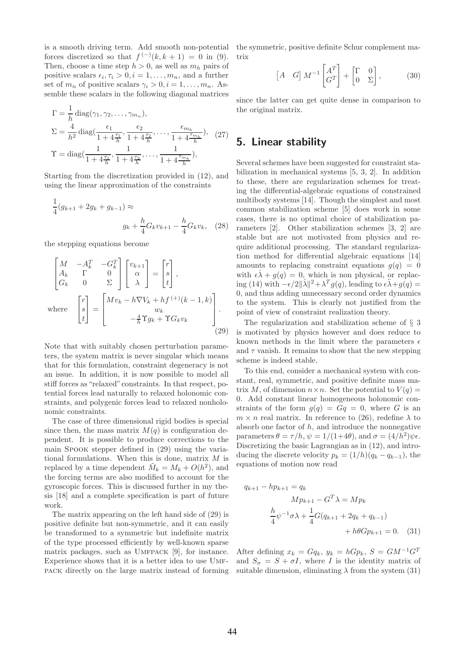is a smooth driving term. Add smooth non-potential forces discretized so that  $f^{(-)}(k, k + 1) = 0$  in (9). Then, choose a time step  $h > 0$ , as well as  $m_h$  pairs of positive scalars  $\epsilon_i, \tau_i > 0, i = 1, \ldots, m_n$ , and a further set of  $m_n$  of positive scalars  $\gamma_i > 0, i = 1, \ldots, m_n$ . Assemble these scalars in the following diagonal matrices

$$
\Gamma = \frac{1}{h} \operatorname{diag}(\gamma_1, \gamma_2, \dots, \gamma_{m_n}),
$$
  
\n
$$
\Sigma = \frac{4}{h^2} \operatorname{diag}(\frac{\epsilon_1}{1 + 4\frac{\tau_1}{h}}, \frac{\epsilon_2}{1 + 4\frac{\tau_2}{h}}, \dots, \frac{\epsilon_{m_h}}{1 + 4\frac{\tau_{m_h}}{h}}), (27)
$$
  
\n
$$
\Upsilon = \operatorname{diag}(\frac{1}{1 + 4\frac{\tau_1}{h}}, \frac{1}{1 + 4\frac{\tau_2}{h}}, \dots, \frac{1}{1 + 4\frac{\tau_{m_h}}{h}}),
$$

Starting from the discretization provided in (12), and using the linear approximation of the constraints

$$
\frac{1}{4}(g_{k+1} + 2g_k + g_{k-1}) \approx
$$
\n
$$
g_k + \frac{h}{4}G_k v_{k+1} - \frac{h}{4}G_k v_k, \quad (28)
$$

the stepping equations become

$$
\begin{bmatrix}\nM & -A_k^T & -G_k^T \\
A_k & \Gamma & 0 \\
G_k & 0 & \Sigma\n\end{bmatrix}\n\begin{bmatrix}\nv_{k+1} \\
\alpha \\
\lambda\n\end{bmatrix} =\n\begin{bmatrix}\nr \\
s \\
t\n\end{bmatrix},
$$
\nwhere\n
$$
\begin{bmatrix}\nr \\
s \\
t\n\end{bmatrix} =\n\begin{bmatrix}\nMv_k - h\nabla V_k + hf^{(+)}(k-1, k) \\
w_k \\
-\frac{4}{h}\Upsilon g_k + \Upsilon G_k v_k\n\end{bmatrix}.
$$
\n(29)

Note that with suitably chosen perturbation parameters, the system matrix is never singular which means that for this formulation, constraint degeneracy is not an issue. In addition, it is now possible to model all stiff forces as "relaxed" constraints. In that respect, potential forces lead naturally to relaxed holonomic constraints, and polygenic forces lead to relaxed nonholonomic constraints.

The case of three dimensional rigid bodies is special since then, the mass matrix  $M(q)$  is configuration dependent. It is possible to produce corrections to the main Spook stepper defined in (29) using the variational formulations. When this is done, matrix  $M$  is replaced by a time dependent  $\tilde{M}_k = M_k + O(h^2)$ , and the forcing terms are also modified to account for the gyroscopic forces. This is discussed further in my thesis [18] and a complete specification is part of future work.

The matrix appearing on the left hand side of (29) is positive definite but non-symmetric, and it can easily be transformed to a symmetric but indefinite matrix of the type processed efficiently by well-known sparse matrix packages, such as UMFPACK [9], for instance. Experience shows that it is a better idea to use Umfpack directly on the large matrix instead of forming

the symmetric, positive definite Schur complement matrix

$$
\begin{bmatrix} A & G \end{bmatrix} M^{-1} \begin{bmatrix} A^T \\ G^T \end{bmatrix} + \begin{bmatrix} \Gamma & 0 \\ 0 & \Sigma \end{bmatrix}, \tag{30}
$$

since the latter can get quite dense in comparison to the original matrix.

## 5. Linear stability

Several schemes have been suggested for constraint stabilization in mechanical systems [5, 3, 2]. In addition to these, there are regularization schemes for treating the differential-algebraic equations of constrained multibody systems [14]. Though the simplest and most common stabilization scheme [5] does work in some cases, there is no optimal choice of stabilization parameters [2]. Other stabilization schemes [3, 2] are stable but are not motivated from physics and require additional processing. The standard regularization method for differential algebraic equations [14] amounts to replacing constraint equations  $g(q) = 0$ with  $\epsilon \lambda + g(q) = 0$ , which is non physical, or replacing (14) with  $-\epsilon/2\|\lambda\|^2 + \lambda^T g(q)$ , leading to  $\epsilon\lambda + g(q) =$ 0, and thus adding unnecessary second order dynamics to the system. This is clearly not justified from the point of view of constraint realization theory.

The regularization and stabilization scheme of § 3 is motivated by physics however and does reduce to known methods in the limit where the parameters  $\epsilon$ and  $\tau$  vanish. It remains to show that the new stepping scheme is indeed stable.

To this end, consider a mechanical system with constant, real, symmetric, and positive definite mass matrix M, of dimension  $n \times n$ . Set the potential to  $V(q) =$ 0. Add constant linear homogeneous holonomic constraints of the form  $g(q) = Gq = 0$ , where G is an  $m \times n$  real matrix. In reference to (26), redefine  $\lambda$  to absorb one factor of  $h$ , and introduce the nonnegative parameters  $\theta = \tau/h$ ,  $\psi = 1/(1+4\theta)$ , and  $\sigma = (4/h^2)\psi\epsilon$ . Discretizing the basic Lagrangian as in (12), and introducing the discrete velocity  $p_k = (1/h)(q_k - q_{k-1})$ , the equations of motion now read

$$
q_{k+1} - hp_{k+1} = q_k
$$
  
\n
$$
Mp_{k+1} - G^T \lambda = Mp_k
$$
  
\n
$$
\frac{h}{4} \psi^{-1} \sigma \lambda + \frac{1}{4} G(q_{k+1} + 2q_k + q_{k-1})
$$
  
\n
$$
+ h\theta G p_{k+1} = 0.
$$
 (31)

After defining  $x_k = Gq_k$ ,  $y_k = hGp_k$ ,  $S = GM^{-1}G^T$ and  $S_{\sigma} = S + \sigma I$ , where I is the identity matrix of suitable dimension, eliminating  $\lambda$  from the system (31)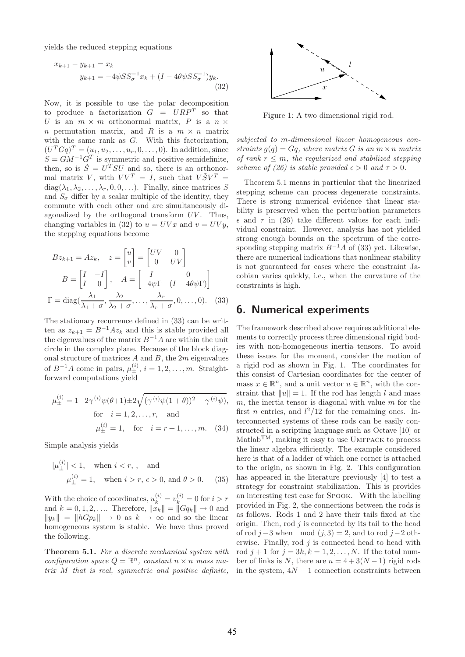yields the reduced stepping equations

$$
x_{k+1} - y_{k+1} = x_k
$$
  

$$
y_{k+1} = -4\psi S S_{\sigma}^{-1} x_k + (I - 4\theta \psi S S_{\sigma}^{-1}) y_k.
$$
  
(32)

Now, it is possible to use the polar decomposition to produce a factorization  $G = URP^T$  so that U is an  $m \times m$  orthonormal matrix, P is a  $n \times$ n permutation matrix, and R is a  $m \times n$  matrix with the same rank as  $G$ . With this factorization,  $(U^{T}Gq)^{T} = (u_{1}, u_{2}, \ldots, u_{r}, 0, \ldots, 0).$  In addition, since  $S = GM^{-1}G^{T}$  is symmetric and positive semidefinite, then, so is  $\tilde{S} = U^T S U$  and so, there is an orthonormal matrix V, with  $VV^{T} = I$ , such that  $V \tilde{S} V^{T} =$  $diag(\lambda_1, \lambda_2, \ldots, \lambda_r, 0, 0, \ldots)$ . Finally, since matrices S and  $S_{\sigma}$  differ by a scalar multiple of the identity, they commute with each other and are simultaneously diagonalized by the orthogonal transform  $UV$ . Thus, changing variables in (32) to  $u = UVx$  and  $v = UVy$ , the stepping equations become

$$
Bz_{k+1} = Az_k, \quad z = \begin{bmatrix} u \\ v \end{bmatrix} = \begin{bmatrix} UV & 0 \\ 0 & UV \end{bmatrix}
$$

$$
B = \begin{bmatrix} I & -I \\ I & 0 \end{bmatrix}, \quad A = \begin{bmatrix} I & 0 \\ -4\psi\Gamma & (I - 4\theta\psi\Gamma) \end{bmatrix}
$$

$$
\Gamma = \text{diag}(\frac{\lambda_1}{\lambda_1 + \sigma}, \frac{\lambda_2}{\lambda_2 + \sigma}, \dots, \frac{\lambda_r}{\lambda_r + \sigma}, 0, \dots, 0). \quad (33)
$$

The stationary recurrence defined in (33) can be written as  $z_{k+1} = B^{-1} A z_k$  and this is stable provided all the eigenvalues of the matrix  $B^{-1}A$  are within the unit circle in the complex plane. Because of the block diagonal structure of matrices  $A$  and  $B$ , the  $2m$  eigenvalues of  $B^{-1}A$  come in pairs,  $\mu_{\pm}^{(i)}$ ,  $i = 1, 2, \ldots, m$ . Straightforward computations yield

$$
\mu_{\pm}^{(i)} = 1 - 2\gamma^{(i)}\psi(\theta + 1) \pm 2\sqrt{(\gamma^{(i)}\psi(1+\theta))^2 - \gamma^{(i)}\psi)},
$$
  
for  $i = 1, 2, ..., r$ , and  

$$
\mu_{\pm}^{(i)} = 1, \text{ for } i = r+1, ..., m. (34)
$$

Simple analysis yields

$$
|\mu_{\pm}^{(i)}| < 1
$$
, when  $i < r$ , and  
 $\mu_{\pm}^{(i)} = 1$ , when  $i > r$ ,  $\epsilon > 0$ , and  $\theta > 0$ . (35)

With the choice of coordinates,  $u_k^{(i)} = v_k^{(i)} = 0$  for  $i > r$ and  $k = 0, 1, 2, ...$  Therefore,  $\|\hat{x}_k\| = \|Gq_k\| \to 0$  and  $||y_k|| = ||hGp_k|| \rightarrow 0$  as  $k \rightarrow \infty$  and so the linear homogeneous system is stable. We have thus proved the following.

Theorem 5.1. For a discrete mechanical system with configuration space  $Q = \mathbb{R}^n$ , constant  $n \times n$  mass matrix M that is real, symmetric and positive definite,



Figure 1: A two dimensional rigid rod.

subjected to m-dimensional linear homogeneous constraints  $g(q) = Gq$ , where matrix G is an  $m \times n$  matrix of rank  $r \leq m$ , the regularized and stabilized stepping scheme of (26) is stable provided  $\epsilon > 0$  and  $\tau > 0$ .

Theorem 5.1 means in particular that the linearized stepping scheme can process degenerate constraints. There is strong numerical evidence that linear stability is preserved when the perturbation parameters  $\epsilon$  and  $\tau$  in (26) take different values for each individual constraint. However, analysis has not yielded strong enough bounds on the spectrum of the corresponding stepping matrix  $B^{-1}A$  of (33) yet. Likewise, there are numerical indications that nonlinear stability is not guaranteed for cases where the constraint Jacobian varies quickly, i.e., when the curvature of the constraints is high.

## 6. Numerical experiments

The framework described above requires additional elements to correctly process three dimensional rigid bodies with non-homogeneous inertia tensors. To avoid these issues for the moment, consider the motion of a rigid rod as shown in Fig. 1. The coordinates for this consist of Cartesian coordinates for the center of mass  $x \in \mathbb{R}^n$ , and a unit vector  $u \in \mathbb{R}^n$ , with the constraint that  $||u|| = 1$ . If the rod has length l and mass  $m$ , the inertia tensor is diagonal with value  $m$  for the first *n* entries, and  $l^2/12$  for the remaining ones. Interconnected systems of these rods can be easily constructed in a scripting language such as Octave [10] or  $\text{Mathab}^{\text{TM}}$ , making it easy to use UMFPACK to process the linear algebra efficiently. The example considered here is that of a ladder of which one corner is attached to the origin, as shown in Fig. 2. This configuration has appeared in the literature previously [4] to test a strategy for constraint stabilization. This is provides an interesting test case for Spook. With the labelling provided in Fig. 2, the connections between the rods is as follows. Rods 1 and 2 have their tails fixed at the origin. Then,  $\text{rod } j$  is connected by its tail to the head of rod  $j-3$  when mod  $(j, 3) = 2$ , and to rod  $j-2$  otherwise. Finally, rod  $j$  is connected head to head with rod  $j + 1$  for  $j = 3k, k = 1, 2, ..., N$ . If the total number of links is N, there are  $n = 4 + 3(N - 1)$  rigid rods in the system,  $4N + 1$  connection constraints between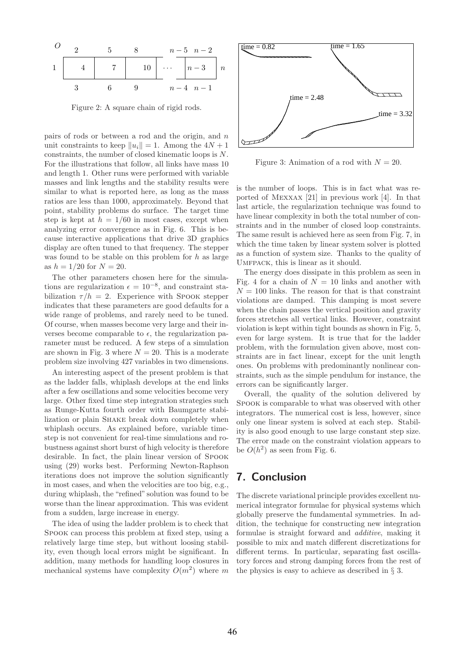

Figure 2: A square chain of rigid rods.

pairs of rods or between a rod and the origin, and n unit constraints to keep  $||u_i|| = 1$ . Among the  $4N + 1$ constraints, the number of closed kinematic loops is N. For the illustrations that follow, all links have mass 10 and length 1. Other runs were performed with variable masses and link lengths and the stability results were similar to what is reported here, as long as the mass ratios are less than 1000, approximately. Beyond that point, stability problems do surface. The target time step is kept at  $h = 1/60$  in most cases, except when analyzing error convergence as in Fig. 6. This is because interactive applications that drive 3D graphics display are often tuned to that frequency. The stepper was found to be stable on this problem for  $h$  as large as  $h = 1/20$  for  $N = 20$ .

The other parameters chosen here for the simulations are regularization  $\epsilon = 10^{-8}$ , and constraint stabilization  $\tau/h = 2$ . Experience with Spook stepper indicates that these parameters are good defaults for a wide range of problems, and rarely need to be tuned. Of course, when masses become very large and their inverses become comparable to  $\epsilon$ , the regularization parameter must be reduced. A few steps of a simulation are shown in Fig. 3 where  $N = 20$ . This is a moderate problem size involving 427 variables in two dimensions.

An interesting aspect of the present problem is that as the ladder falls, whiplash develops at the end links after a few oscillations and some velocities become very large. Other fixed time step integration strategies such as Runge-Kutta fourth order with Baumgarte stabilization or plain Shake break down completely when whiplash occurs. As explained before, variable timestep is not convenient for real-time simulations and robustness against short burst of high velocity is therefore desirable. In fact, the plain linear version of Spook using (29) works best. Performing Newton-Raphson iterations does not improve the solution significantly in most cases, and when the velocities are too big, e.g., during whiplash, the "refined" solution was found to be worse than the linear approximation. This was evident from a sudden, large increase in energy.

The idea of using the ladder problem is to check that Spook can process this problem at fixed step, using a relatively large time step, but without loosing stability, even though local errors might be significant. In addition, many methods for handling loop closures in mechanical systems have complexity  $O(m^2)$  where m



Figure 3: Animation of a rod with  $N = 20$ .

is the number of loops. This is in fact what was reported of Mexxax [21] in previous work [4]. In that last article, the regularization technique was found to have linear complexity in both the total number of constraints and in the number of closed loop constraints. The same result is achieved here as seen from Fig. 7, in which the time taken by linear system solver is plotted as a function of system size. Thanks to the quality of UMFPACK, this is linear as it should.

The energy does dissipate in this problem as seen in Fig. 4 for a chain of  $N = 10$  links and another with  $N = 100$  links. The reason for that is that constraint violations are damped. This damping is most severe when the chain passes the vertical position and gravity forces stretches all vertical links. However, constraint violation is kept within tight bounds as shown in Fig. 5, even for large system. It is true that for the ladder problem, with the formulation given above, most constraints are in fact linear, except for the unit length ones. On problems with predominantly nonlinear constraints, such as the simple pendulum for instance, the errors can be significantly larger.

Overall, the quality of the solution delivered by Spook is comparable to what was observed with other integrators. The numerical cost is less, however, since only one linear system is solved at each step. Stability is also good enough to use large constant step size. The error made on the constraint violation appears to be  $O(h^2)$  as seen from Fig. 6.

## 7. Conclusion

The discrete variational principle provides excellent numerical integrator formulae for physical systems which globally preserve the fundamental symmetries. In addition, the technique for constructing new integration formulae is straight forward and additive, making it possible to mix and match different discretizations for different terms. In particular, separating fast oscillatory forces and strong damping forces from the rest of the physics is easy to achieve as described in § 3.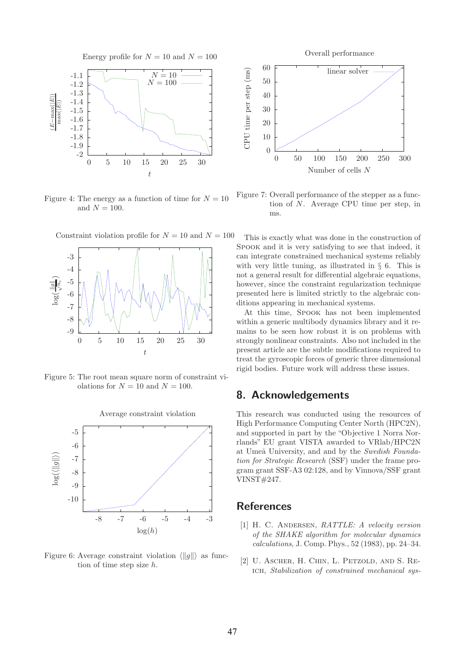

Figure 4: The energy as a function of time for  $N = 10$ and  $N = 100$ .



Figure 5: The root mean square norm of constraint violations for  $N = 10$  and  $N = 100$ .



Figure 6: Average constraint violation  $\langle ||g|| \rangle$  as function of time step size h.



Figure 7: Overall performance of the stepper as a function of N. Average CPU time per step, in ms.

This is exactly what was done in the construction of Spook and it is very satisfying to see that indeed, it can integrate constrained mechanical systems reliably with very little tuning, as illustrated in  $\S$  6. This is not a general result for differential algebraic equations, however, since the constraint regularization technique presented here is limited strictly to the algebraic conditions appearing in mechanical systems.

At this time, Spook has not been implemented within a generic multibody dynamics library and it remains to be seen how robust it is on problems with strongly nonlinear constraints. Also not included in the present article are the subtle modifications required to treat the gyroscopic forces of generic three dimensional rigid bodies. Future work will address these issues.

#### 8. Acknowledgements

This research was conducted using the resources of High Performance Computing Center North (HPC2N), and supported in part by the "Objective 1 Norra Norrlands" EU grant VISTA awarded to VRlab/HPC2N at Umeå University, and and by the Swedish Foundation for Strategic Research (SSF) under the frame program grant SSF-A3 02:128, and by Vinnova/SSF grant VINST#247.

## **References**

- [1] H. C. Andersen, RATTLE: A velocity version of the SHAKE algorithm for molecular dynamics calculations, J. Comp. Phys., 52 (1983), pp. 24–34.
- [2] U. Ascher, H. Chin, L. Petzold, and S. Reich, Stabilization of constrained mechanical sys-

Constraint violation profile for  $N = 10$  and  $N = 100$